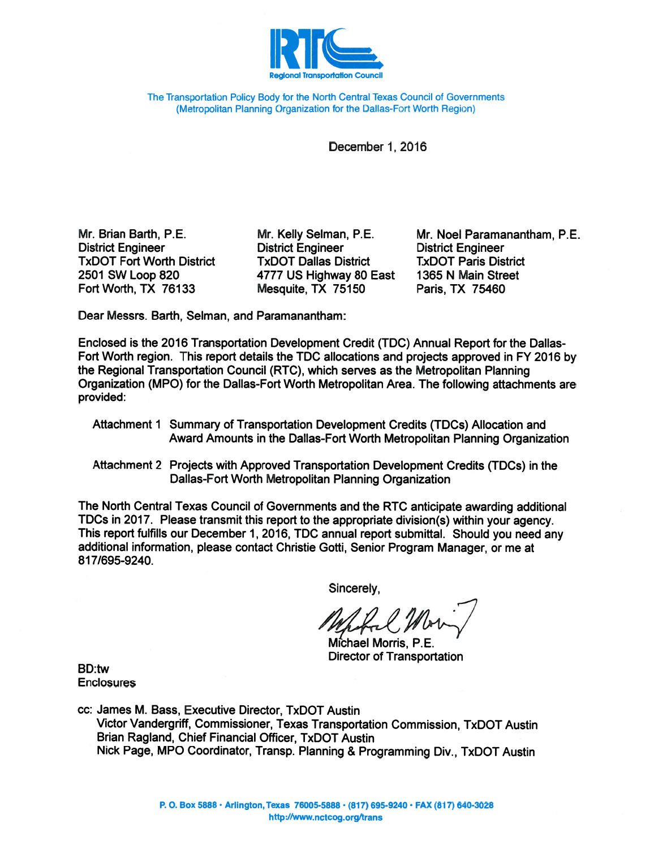

The Transportation Policy Body for the North Central Texas Council of Governments (Metropolitan Planning Organization for the Dallas-Fort Worth Region)

December 1, 2016

Mr. Brian Barth, P.E. **District Engineer TxDOT Fort Worth District** 2501 SW Loop 820 Fort Worth, TX 76133

Mr. Kelly Selman, P.E. **District Engineer TxDOT Dallas District** 4777 US Highway 80 East Mesquite, TX 75150

Mr. Noel Paramanantham, P.E. **District Engineer TxDOT Paris District** 1365 N Main Street Paris, TX 75460

Dear Messrs. Barth, Selman, and Paramanantham:

Enclosed is the 2016 Transportation Development Credit (TDC) Annual Report for the Dallas-Fort Worth region. This report details the TDC allocations and projects approved in FY 2016 by the Regional Transportation Council (RTC), which serves as the Metropolitan Planning Organization (MPO) for the Dallas-Fort Worth Metropolitan Area. The following attachments are provided:

- Attachment 1 Summary of Transportation Development Credits (TDCs) Allocation and Award Amounts in the Dallas-Fort Worth Metropolitan Planning Organization
- Attachment 2 Projects with Approved Transportation Development Credits (TDCs) in the Dallas-Fort Worth Metropolitan Planning Organization

The North Central Texas Council of Governments and the RTC anticipate awarding additional TDCs in 2017. Please transmit this report to the appropriate division(s) within your agency. This report fulfills our December 1, 2016, TDC annual report submittal. Should you need any additional information, please contact Christie Gotti, Senior Program Manager, or me at 817/695-9240

Sincerely.

Michael Morris, P.E. **Director of Transportation** 

**BD:tw Enclosures** 

cc: James M. Bass, Executive Director, TxDOT Austin Victor Vandergriff, Commissioner, Texas Transportation Commission, TxDOT Austin Brian Ragland, Chief Financial Officer, TxDOT Austin Nick Page, MPO Coordinator, Transp. Planning & Programming Div., TxDOT Austin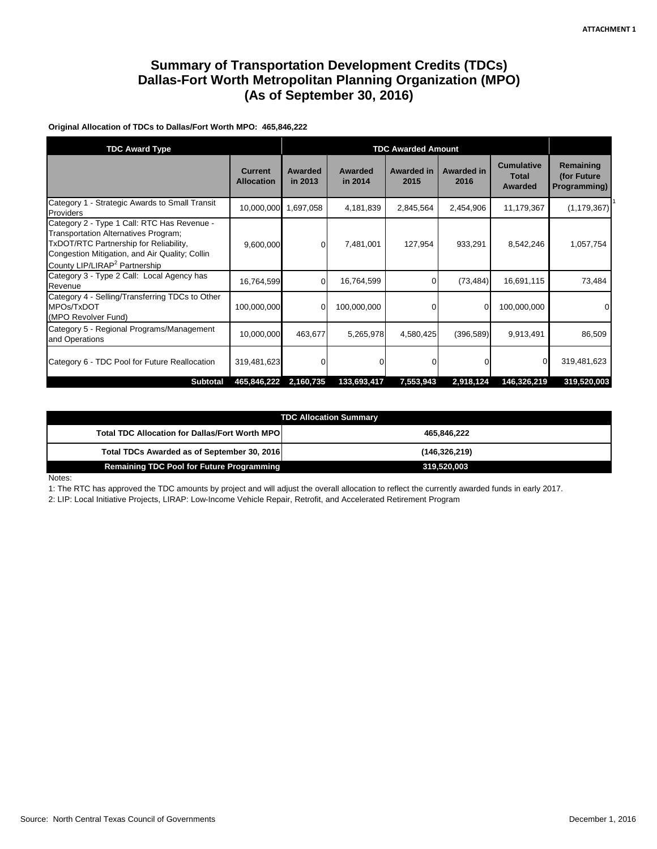## **Summary of Transportation Development Credits (TDCs) Dallas-Fort Worth Metropolitan Planning Organization (MPO) (As of September 30, 2016)**

**Original Allocation of TDCs to Dallas/Fort Worth MPO: 465,846,222**

| <b>TDC Award Type</b>                                                                                                                                                                                                        |                                     | <b>TDC Awarded Amount</b> |                    |                           |                           |                                              |                                          |
|------------------------------------------------------------------------------------------------------------------------------------------------------------------------------------------------------------------------------|-------------------------------------|---------------------------|--------------------|---------------------------|---------------------------|----------------------------------------------|------------------------------------------|
|                                                                                                                                                                                                                              | <b>Current</b><br><b>Allocation</b> | Awarded<br>in 2013        | Awarded<br>in 2014 | <b>Awarded in</b><br>2015 | <b>Awarded in</b><br>2016 | <b>Cumulative</b><br><b>Total</b><br>Awarded | Remaining<br>(for Future<br>Programming) |
| Category 1 - Strategic Awards to Small Transit<br>Providers                                                                                                                                                                  |                                     | 10,000,000 1,697,058      | 4,181,839          | 2,845,564                 | 2,454,906                 | 11,179,367                                   | (1, 179, 367)                            |
| Category 2 - Type 1 Call: RTC Has Revenue -<br>Transportation Alternatives Program;<br>TxDOT/RTC Partnership for Reliability,<br>Congestion Mitigation, and Air Quality; Collin<br>County LIP/LIRAP <sup>2</sup> Partnership | 9,600,000                           | 0                         | 7,481,001          | 127,954                   | 933,291                   | 8,542,246                                    | 1,057,754                                |
| Category 3 - Type 2 Call: Local Agency has<br>Revenue                                                                                                                                                                        | 16,764,599                          | $\mathbf 0$               | 16,764,599         | $\Omega$                  | (73, 484)                 | 16,691,115                                   | 73,484                                   |
| Category 4 - Selling/Transferring TDCs to Other<br>MPOs/TxDOT<br>(MPO Revolver Fund)                                                                                                                                         | 100,000,000                         | 0                         | 100,000,000        | 0                         |                           | 100,000,000                                  |                                          |
| Category 5 - Regional Programs/Management<br>and Operations                                                                                                                                                                  | 10,000,000                          | 463,677                   | 5,265,978          | 4,580,425                 | (396, 589)                | 9,913,491                                    | 86,509                                   |
| Category 6 - TDC Pool for Future Reallocation                                                                                                                                                                                | 319,481,623                         | O                         | $\Omega$           | U                         |                           |                                              | 319,481,623                              |
| <b>Subtotal</b>                                                                                                                                                                                                              | 465,846,222                         | 2,160,735                 | 133,693,417        | 7,553,943                 | 2,918,124                 | 146,326,219                                  | 319,520,003                              |

| <b>TDC Allocation Summary</b>                          |                 |  |  |  |  |
|--------------------------------------------------------|-----------------|--|--|--|--|
| <b>Total TDC Allocation for Dallas/Fort Worth MPOI</b> | 465.846.222     |  |  |  |  |
| Total TDCs Awarded as of September 30, 2016            | (146, 326, 219) |  |  |  |  |
| <b>Remaining TDC Pool for Future Programming</b>       | 319,520,003     |  |  |  |  |

Notes:

1: The RTC has approved the TDC amounts by project and will adjust the overall allocation to reflect the currently awarded funds in early 2017.

2: LIP: Local Initiative Projects, LIRAP: Low-Income Vehicle Repair, Retrofit, and Accelerated Retirement Program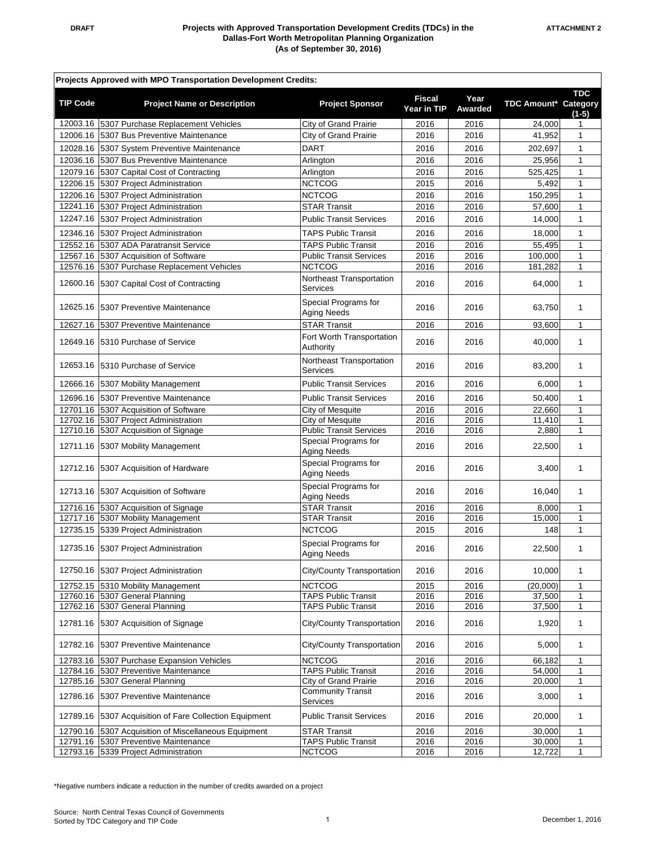| Projects Approved with MPO Transportation Development Credits: |                                                                              |                                                            |                       |                 |                      |                   |  |
|----------------------------------------------------------------|------------------------------------------------------------------------------|------------------------------------------------------------|-----------------------|-----------------|----------------------|-------------------|--|
| <b>TIP Code</b>                                                | <b>Project Name or Description</b>                                           | <b>Project Sponsor</b>                                     | Fiscal<br>Year in TIP | Year<br>Awarded | TDC Amount* Category | TDC<br>$(1-5)$    |  |
|                                                                | 12003.16 5307 Purchase Replacement Vehicles                                  | <b>City of Grand Prairie</b>                               | 2016                  | 2016            | 24,000               |                   |  |
|                                                                | 12006.16 5307 Bus Preventive Maintenance                                     | City of Grand Prairie                                      | 2016                  | 2016            | 41,952               | $\mathbf{1}$      |  |
|                                                                | 12028.16 5307 System Preventive Maintenance                                  | <b>DART</b>                                                | 2016                  | 2016            | 202,697              | $\mathbf{1}$      |  |
| 12036.16                                                       | 5307 Bus Preventive Maintenance                                              | Arlington                                                  | 2016                  | 2016            | 25,956               | $\mathbf{1}$      |  |
|                                                                | 12079.16 5307 Capital Cost of Contracting                                    | Arlington                                                  | 2016                  | 2016            | 525,425              | $\mathbf{1}$      |  |
|                                                                | 12206.15 5307 Project Administration                                         | <b>NCTCOG</b>                                              | 2015                  | 2016            | 5,492                | $\mathbf{1}$      |  |
| 12206.16                                                       | 5307 Project Administration                                                  | <b>NCTCOG</b>                                              | 2016                  | 2016            | 150,295              | 1                 |  |
|                                                                | 12241.16 5307 Project Administration                                         | <b>STAR Transit</b>                                        | 2016                  | 2016            | 57,600               | $\mathbf{1}$      |  |
|                                                                | 12247.16 5307 Project Administration                                         | <b>Public Transit Services</b>                             | 2016                  | 2016            | 14,000               | $\mathbf{1}$      |  |
|                                                                | 12346.16 5307 Project Administration                                         | <b>TAPS Public Transit</b>                                 | 2016                  | 2016            | 18,000               | $\mathbf{1}$      |  |
|                                                                | 12552.16 5307 ADA Paratransit Service                                        | <b>TAPS Public Transit</b>                                 | 2016                  | 2016            | 55,495               | $\mathbf{1}$      |  |
| 12567.16                                                       | 5307 Acquisition of Software                                                 | <b>Public Transit Services</b>                             | 2016                  | 2016            | 100,000              | $\mathbf{1}$      |  |
|                                                                | 12576.16 5307 Purchase Replacement Vehicles                                  | <b>NCTCOG</b>                                              | 2016                  | 2016            | 181,282              | $\mathbf{1}$      |  |
|                                                                | 12600.16 5307 Capital Cost of Contracting                                    | Northeast Transportation<br>Services                       | 2016                  | 2016            | 64,000               | $\mathbf{1}$      |  |
|                                                                | 12625.16 5307 Preventive Maintenance                                         | Special Programs for<br>Aging Needs                        | 2016                  | 2016            | 63,750               | $\mathbf{1}$      |  |
|                                                                | 12627.16 5307 Preventive Maintenance                                         | <b>STAR Transit</b>                                        | 2016                  | 2016            | 93,600               | $\mathbf{1}$      |  |
|                                                                | 12649.16 5310 Purchase of Service                                            | Fort Worth Transportation<br>Authority                     | 2016                  | 2016            | 40,000               | $\mathbf{1}$      |  |
|                                                                | 12653.16 5310 Purchase of Service                                            | Northeast Transportation<br>Services                       | 2016                  | 2016            | 83,200               | 1                 |  |
|                                                                | 12666.16 5307 Mobility Management                                            | <b>Public Transit Services</b>                             | 2016                  | 2016            | 6,000                | $\mathbf{1}$      |  |
|                                                                | 12696.16 5307 Preventive Maintenance                                         | <b>Public Transit Services</b>                             | 2016                  | 2016            | 50,400               | $\mathbf{1}$      |  |
|                                                                | 12701.16 5307 Acquisition of Software                                        | City of Mesquite                                           | 2016                  | 2016            | 22,660               | $\mathbf{1}$      |  |
|                                                                | 12702.16 5307 Project Administration                                         | City of Mesquite                                           | 2016                  | 2016            | 11,410               | $\mathbf{1}$      |  |
|                                                                | 12710.16 5307 Acquisition of Signage                                         | <b>Public Transit Services</b>                             | 2016                  | 2016            | 2,880                | $\mathbf{1}$      |  |
|                                                                | 12711.16 5307 Mobility Management                                            | Special Programs for<br>Aging Needs                        | 2016                  | 2016            | 22,500               | $\mathbf{1}$      |  |
|                                                                | 12712.16 5307 Acquisition of Hardware                                        | Special Programs for<br><b>Aging Needs</b>                 | 2016                  | 2016            | 3,400                | $\mathbf{1}$      |  |
|                                                                | 12713.16 5307 Acquisition of Software                                        | Special Programs for<br>Aging Needs                        | 2016                  | 2016            | 16,040               | $\mathbf{1}$      |  |
|                                                                | 12716.16 5307 Acquisition of Signage                                         | <b>STAR Transit</b>                                        | 2016                  | 2016            | 8,000                | $\mathbf{1}$      |  |
|                                                                | 12717.16 5307 Mobility Management                                            | <b>STAR Transit</b>                                        | 2016                  | 2016            | 15,000               | $\mathbf{1}$      |  |
|                                                                | 12735.15 5339 Project Administration<br>12735.16 5307 Project Administration | <b>NCTCOG</b><br>Special Programs for                      | 2015<br>2016          | 2016<br>2016    | 148<br>22,500        | 1<br>$\mathbf{1}$ |  |
|                                                                | 12750.16 5307 Project Administration                                         | Aging Needs<br>City/County Transportation                  | 2016                  | 2016            | 10,000               | $\mathbf{1}$      |  |
|                                                                | 12752.15 5310 Mobility Management                                            | <b>NCTCOG</b>                                              | 2015                  | 2016            | (20,000)             | 1                 |  |
|                                                                | 12760.16 5307 General Planning                                               | <b>TAPS Public Transit</b>                                 | 2016                  | 2016            | 37,500               | $\mathbf{1}$      |  |
|                                                                | 12762.16 5307 General Planning                                               | <b>TAPS Public Transit</b>                                 | 2016                  | 2016            | 37,500               | 1                 |  |
| 12781.16                                                       | 5307 Acquisition of Signage                                                  | <b>City/County Transportation</b>                          | 2016                  | 2016            | 1,920                | 1                 |  |
|                                                                | 12782.16 5307 Preventive Maintenance                                         | City/County Transportation                                 | 2016                  | 2016            | 5,000                | $\mathbf{1}$      |  |
| 12783.16                                                       | 5307 Purchase Expansion Vehicles                                             | <b>NCTCOG</b>                                              | 2016                  | 2016            | 66,182               | 1                 |  |
| 12785.16                                                       | 12784.16 5307 Preventive Maintenance<br>5307 General Planning                | <b>TAPS Public Transit</b><br><b>City of Grand Prairie</b> | 2016<br>2016          | 2016<br>2016    | 54,000<br>20,000     | 1<br>$\mathbf{1}$ |  |
| 12786.16                                                       | 5307 Preventive Maintenance                                                  | <b>Community Transit</b><br>Services                       | 2016                  | 2016            | 3,000                | $\mathbf{1}$      |  |
| 12789.16                                                       | 5307 Acquisition of Fare Collection Equipment                                | <b>Public Transit Services</b>                             | 2016                  | 2016            | 20,000               | 1                 |  |
|                                                                | 12790.16 5307 Acquisition of Miscellaneous Equipment                         | <b>STAR Transit</b>                                        | 2016                  | 2016            | 30,000               | 1                 |  |
|                                                                | 12791.16 5307 Preventive Maintenance                                         | <b>TAPS Public Transit</b>                                 | 2016                  | 2016            | 30,000               | 1                 |  |
|                                                                | 12793.16 5339 Project Administration                                         | <b>NCTCOG</b>                                              | 2016                  | 2016            | 12,722               | $\mathbf{1}$      |  |

\*Negative numbers indicate a reduction in the number of credits awarded on a project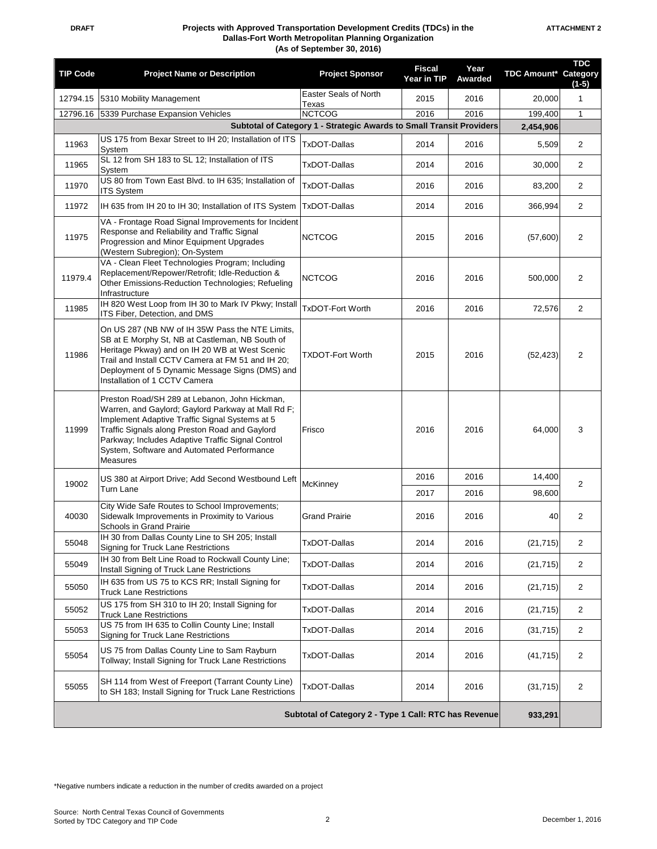| <b>TIP Code</b>                                       | <b>Project Name or Description</b>                                                                                                                                                                                                                                                                                     | <b>Project Sponsor</b>         | <b>Fiscal</b><br>Year in TIP | Year<br>Awarded | <b>TDC Amount* Category</b> | <b>TDC</b><br>$(1-5)$ |
|-------------------------------------------------------|------------------------------------------------------------------------------------------------------------------------------------------------------------------------------------------------------------------------------------------------------------------------------------------------------------------------|--------------------------------|------------------------------|-----------------|-----------------------------|-----------------------|
| 12794.15                                              | 5310 Mobility Management                                                                                                                                                                                                                                                                                               | Easter Seals of North<br>Texas | 2015                         | 2016            | 20,000                      | $\mathbf{1}$          |
|                                                       | 12796.16 5339 Purchase Expansion Vehicles                                                                                                                                                                                                                                                                              | <b>NCTCOG</b>                  | 2016                         | 2016            | 199.400<br>2,454,906        | $\mathbf{1}$          |
|                                                       | Subtotal of Category 1 - Strategic Awards to Small Transit Providers<br>US 175 from Bexar Street to IH 20; Installation of ITS                                                                                                                                                                                         |                                |                              |                 |                             |                       |
| 11963                                                 | System                                                                                                                                                                                                                                                                                                                 | <b>TxDOT-Dallas</b>            | 2014                         | 2016            | 5,509                       | 2                     |
| 11965                                                 | SL 12 from SH 183 to SL 12; Installation of ITS<br>System                                                                                                                                                                                                                                                              | <b>TxDOT-Dallas</b>            | 2014                         | 2016            | 30,000                      | 2                     |
| 11970                                                 | US 80 from Town East Blvd. to IH 635; Installation of<br><b>ITS System</b>                                                                                                                                                                                                                                             | <b>TxDOT-Dallas</b>            | 2016                         | 2016            | 83,200                      | $\overline{2}$        |
| 11972                                                 | IH 635 from IH 20 to IH 30; Installation of ITS System                                                                                                                                                                                                                                                                 | <b>TxDOT-Dallas</b>            | 2014                         | 2016            | 366,994                     | $\overline{2}$        |
| 11975                                                 | VA - Frontage Road Signal Improvements for Incident<br>Response and Reliability and Traffic Signal<br>Progression and Minor Equipment Upgrades<br>(Western Subregion); On-System                                                                                                                                       | <b>NCTCOG</b>                  | 2015                         | 2016            | (57,600)                    | 2                     |
| 11979.4                                               | VA - Clean Fleet Technologies Program; Including<br>Replacement/Repower/Retrofit; Idle-Reduction &<br>Other Emissions-Reduction Technologies; Refueling<br>Infrastructure                                                                                                                                              | <b>NCTCOG</b>                  | 2016                         | 2016            | 500,000                     | 2                     |
| 11985                                                 | IH 820 West Loop from IH 30 to Mark IV Pkwy; Install<br>ITS Fiber, Detection, and DMS                                                                                                                                                                                                                                  | <b>TxDOT-Fort Worth</b>        | 2016                         | 2016            | 72,576                      | $\overline{2}$        |
| 11986                                                 | On US 287 (NB NW of IH 35W Pass the NTE Limits,<br>SB at E Morphy St, NB at Castleman, NB South of<br>Heritage Pkway) and on IH 20 WB at West Scenic<br>Trail and Install CCTV Camera at FM 51 and IH 20;<br>Deployment of 5 Dynamic Message Signs (DMS) and<br>Installation of 1 CCTV Camera                          | <b>TXDOT-Fort Worth</b>        | 2015                         | 2016            | (52, 423)                   | 2                     |
| 11999                                                 | Preston Road/SH 289 at Lebanon, John Hickman,<br>Warren, and Gaylord; Gaylord Parkway at Mall Rd F;<br>Implement Adaptive Traffic Signal Systems at 5<br>Traffic Signals along Preston Road and Gaylord<br>Parkway; Includes Adaptive Traffic Signal Control<br>System, Software and Automated Performance<br>Measures | Frisco                         | 2016                         | 2016            | 64,000                      | 3                     |
| 19002                                                 | US 380 at Airport Drive; Add Second Westbound Left                                                                                                                                                                                                                                                                     | McKinney                       | 2016                         | 2016            | 14,400                      | $\overline{2}$        |
|                                                       | Turn Lane                                                                                                                                                                                                                                                                                                              |                                | 2017                         | 2016            | 98,600                      |                       |
| 40030                                                 | City Wide Safe Routes to School Improvements;<br>Sidewalk Improvements in Proximity to Various<br>Schools in Grand Prairie                                                                                                                                                                                             | <b>Grand Prairie</b>           | 2016                         | 2016            | 40                          | $\overline{2}$        |
| 55048                                                 | IH 30 from Dallas County Line to SH 205; Install<br>Signing for Truck Lane Restrictions                                                                                                                                                                                                                                | <b>TxDOT-Dallas</b>            | 2014                         | 2016            | (21, 715)                   | $\overline{2}$        |
| 55049                                                 | IH 30 from Belt Line Road to Rockwall County Line;<br>Install Signing of Truck Lane Restrictions                                                                                                                                                                                                                       | <b>TxDOT-Dallas</b>            | 2014                         | 2016            | (21, 715)                   | $\overline{2}$        |
| 55050                                                 | IH 635 from US 75 to KCS RR; Install Signing for<br><b>Truck Lane Restrictions</b>                                                                                                                                                                                                                                     | <b>TxDOT-Dallas</b>            | 2014                         | 2016            | (21, 715)                   | $\overline{2}$        |
| 55052                                                 | US 175 from SH 310 to IH 20; Install Signing for<br><b>Truck Lane Restrictions</b>                                                                                                                                                                                                                                     | TxDOT-Dallas                   | 2014                         | 2016            | (21, 715)                   | $\overline{2}$        |
| 55053                                                 | US 75 from IH 635 to Collin County Line; Install<br>Signing for Truck Lane Restrictions                                                                                                                                                                                                                                | <b>TxDOT-Dallas</b>            | 2014                         | 2016            | (31, 715)                   | $\overline{2}$        |
| 55054                                                 | US 75 from Dallas County Line to Sam Rayburn<br>Tollway; Install Signing for Truck Lane Restrictions                                                                                                                                                                                                                   | TxDOT-Dallas                   | 2014                         | 2016            | (41, 715)                   | $\overline{2}$        |
| 55055                                                 | SH 114 from West of Freeport (Tarrant County Line)<br>to SH 183; Install Signing for Truck Lane Restrictions                                                                                                                                                                                                           | <b>TxDOT-Dallas</b>            | 2014                         | 2016            | (31, 715)                   | $\overline{2}$        |
| Subtotal of Category 2 - Type 1 Call: RTC has Revenue |                                                                                                                                                                                                                                                                                                                        |                                |                              |                 |                             | 933,291               |

\*Negative numbers indicate a reduction in the number of credits awarded on a project